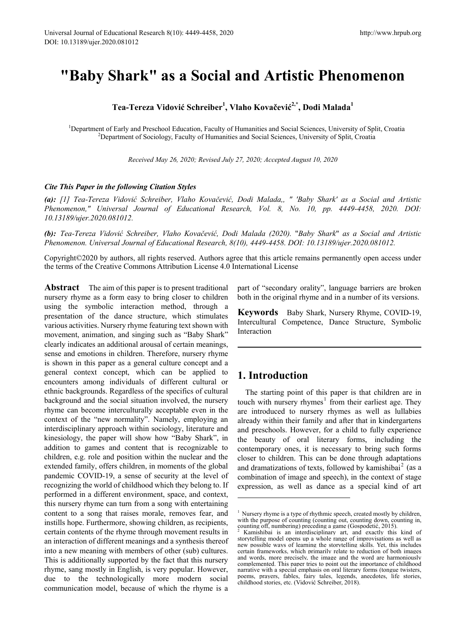# **"Baby Shark" as a Social and Artistic Phenomenon**

**Tea-Tereza Vidović Schreiber1 , Vlaho Kovačević2,\*, Dodi Malada<sup>1</sup>**

<sup>1</sup>Department of Early and Preschool Education, Faculty of Humanities and Social Sciences, University of Split, Croatia <sup>2</sup>Department of Sociology, Faculty of Humanities and Social Sciences, University of Split, Croatia <sup>2</sup>Department of Sociology, Faculty of Humanities and Social Sciences, University of Split, Croatia

*Received May 26, 2020; Revised July 27, 2020; Accepted August 10, 2020*

#### *Cite This Paper in the following Citation Styles*

*(a): [1] Tea-Tereza Vidović Schreiber, Vlaho Kovačević, Dodi Malada,, " 'Baby Shark' as a Social and Artistic Phenomenon," Universal Journal of Educational Research, Vol. 8, No. 10, pp. 4449-4458, 2020. DOI: 10.13189/ujer.2020.081012.* 

*(b): Tea-Tereza Vidović Schreiber, Vlaho Kovačević, Dodi Malada (2020).* "*Baby Shark*" *as a Social and Artistic Phenomenon. Universal Journal of Educational Research, 8(10), 4449-4458. DOI: 10.13189/ujer.2020.081012.* 

Copyright©2020 by authors, all rights reserved. Authors agree that this article remains permanently open access under the terms of the Creative Commons Attribution License 4.0 International License

<span id="page-0-0"></span>**Abstract** The aim of this paper is to present traditional nursery rhyme as a form easy to bring closer to children using the symbolic interaction method, through a presentation of the dance structure, which stimulates various activities. Nursery rhyme featuring text shown with movement, animation, and singing such as "Baby Shark" clearly indicates an additional arousal of certain meanings, sense and emotions in children. Therefore, nursery rhyme is shown in this paper as a general culture concept and a general context concept, which can be applied to encounters among individuals of different cultural or ethnic backgrounds. Regardless of the specifics of cultural background and the social situation involved, the nursery rhyme can become interculturally acceptable even in the context of the "new normality". Namely, employing an interdisciplinary approach within sociology, literature and kinesiology, the paper will show how "Baby Shark", in addition to games and content that is recognizable to children, e.g. role and position within the nuclear and the extended family, offers children, in moments of the global pandemic COVID-19, a sense of security at the level of recognizing the world of childhood which they belong to. If performed in a different environment, space, and context, this nursery rhyme can turn from a song with entertaining content to a song that raises morale, removes fear, and instills hope. Furthermore, showing children, as recipients, certain contents of the rhyme through movement results in an interaction of different meanings and a synthesis thereof into a new meaning with members of other (sub) cultures. This is additionally supported by the fact that this nursery rhyme, sang mostly in English, is very popular. However, due to the technologically more modern social communication model, because of which the rhyme is a

part of "secondary orality", language barriers are broken both in the original rhyme and in a number of its versions.

**Keywords** Baby Shark, Nursery Rhyme, COVID-19, Intercultural Competence, Dance Structure, Symbolic Interaction

### **1. Introduction**

The starting point of this paper is that children are in touch with nursery rhymes<sup>[1](#page-0-0)</sup> from their earliest age. They are introduced to nursery rhymes as well as lullabies already within their family and after that in kindergartens and preschools. However, for a child to fully experience the beauty of oral literary forms, including the contemporary ones, it is necessary to bring such forms closer to children. This can be done through adaptations and dramatizations of texts, followed by kamishibai<sup>[2](#page-0-1)</sup> (as a combination of image and speech), in the context of stage expression, as well as dance as a special kind of art

<sup>&</sup>lt;sup>1</sup> Nursery rhyme is a type of rhythmic speech, created mostly by children, with the purpose of counting (counting out, counting down, counting in, counting off, numbering) preceding a game (Gospodetić, 2015).

<span id="page-0-1"></span><sup>2</sup> Kamishibai is an interdisciplinary art, and exactly this kind of storytelling model opens up a whole range of improvisations as well as new possible ways of learning the storytelling skills. Yet, this includes certain frameworks, which primarily relate to reduction of both images and words, more precisely, the image and the word are harmoniously complemented. This paper tries to point out the importance of childhood narrative with a special emphasis on oral literary forms (tongue twisters, poems, prayers, fables, fairy tales, legends, anecdotes, life stories, childhood stories, etc. (Vidović Schreiber, 2018).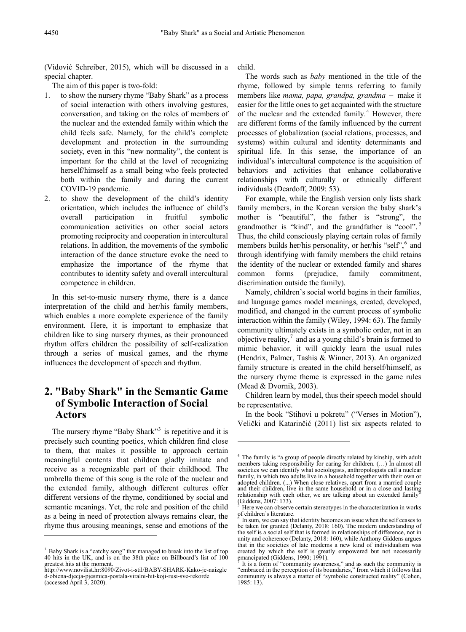(Vidović Schreiber, 2015), which will be discussed in a special chapter.

The aim of this paper is two-fold:

- 1. to show the nursery rhyme "Baby Shark" as a process of social interaction with others involving gestures, conversation, and taking on the roles of members of the nuclear and the extended family within which the child feels safe. Namely, for the child's complete development and protection in the surrounding society, even in this "new normality", the content is important for the child at the level of recognizing herself/himself as a small being who feels protected both within the family and during the current COVID-19 pandemic.
- 2. to show the development of the child's identity orientation, which includes the influence of child's overall participation in fruitful symbolic communication activities on other social actors promoting reciprocity and cooperation in intercultural relations. In addition, the movements of the symbolic interaction of the dance structure evoke the need to emphasize the importance of the rhyme that contributes to identity safety and overall intercultural competence in children.

In this set-to-music nursery rhyme, there is a dance interpretation of the child and her/his family members, which enables a more complete experience of the family environment. Here, it is important to emphasize that children like to sing nursery rhymes, as their pronounced rhythm offers children the possibility of self-realization through a series of musical games, and the rhyme influences the development of speech and rhythm.

## **2. "Baby Shark" in the Semantic Game of Symbolic Interaction of Social Actors**

<span id="page-1-1"></span>The nursery rhyme "Baby Shark"<sup>[3](#page-1-0)</sup> is repetitive and it is precisely such counting poetics, which children find close to them, that makes it possible to approach certain meaningful contents that children gladly imitate and receive as a recognizable part of their childhood. The umbrella theme of this song is the role of the nuclear and the extended family, although different cultures offer different versions of the rhyme, conditioned by social and semantic meanings. Yet, the role and position of the child as a being in need of protection always remains clear, the rhyme thus arousing meanings, sense and emotions of the

<span id="page-1-3"></span><span id="page-1-2"></span> $\overline{a}$ 

child.

**-**

The words such as *baby* mentioned in the title of the rhyme, followed by simple terms referring to family members like *mama, papa, grandpa, grandma* ̶ make it easier for the little ones to get acquainted with the structure of the nuclear and the extended family. $4$  However, there are different forms of the family influenced by the current processes of globalization (social relations, processes, and systems) within cultural and identity determinants and spiritual life. In this sense, the importance of an individual's intercultural competence is the acquisition of behaviors and activities that enhance collaborative relationships with culturally or ethnically different individuals (Deardoff, 2009: 53).

For example, while the English version only lists shark family members, in the Korean version the baby shark's mother is "beautiful", the father is "strong", the grandmother is "kind", and the grandfather is "cool".<sup>[5](#page-1-2)</sup> Thus, the child consciously playing certain roles of family members builds her/his personality, or her/his "self", and through identifying with family members the child retains the identity of the nuclear or extended family and shares common forms (prejudice, family commitment, discrimination outside the family).

Namely, children's social world begins in their families, and language games model meanings, created, developed, modified, and changed in the current process of symbolic interaction within the family (Wiley, 1994: 63). The family community ultimately exists in a symbolic order, not in an objective reality, $\alpha$  and as a young child's brain is formed to mimic behavior, it will quickly learn the usual rules (Hendrix, Palmer, Tashis & Winner, 2013). An organized family structure is created in the child herself/himself, as the nursery rhyme theme is expressed in the game rules (Mead & Dvornik, 2003).

Children learn by model, thus their speech model should be representative.

In the book "Stihovi u pokretu" ("Verses in Motion"), Velički and Katarinčić (2011) list six aspects related to

<span id="page-1-0"></span><sup>&</sup>lt;sup>3</sup> Baby Shark is a "catchy song" that managed to break into the list of top 40 hits in the UK, and is on the 38th place on Billboard's list of 100 greatest hits at the moment.

<span id="page-1-4"></span>[http://www.novilist.hr:8090/Zivot-i-stil/BABY-SHARK-Kako-je-naizgle](http://www.novilist.hr:8090/Zivot-i-stil/BABY-SHARK-Kako-je-naizgled-obicna-djecja-pjesmica-postala-viralni-hit-koji-rusi-sve-rekorde) [d-obicna-djecja-pjesmica-postala-viralni-hit-koji-rusi-sve-rekorde](http://www.novilist.hr:8090/Zivot-i-stil/BABY-SHARK-Kako-je-naizgled-obicna-djecja-pjesmica-postala-viralni-hit-koji-rusi-sve-rekorde) (accessed April 3, 2020).

<sup>&</sup>lt;sup>4</sup> The family is "a group of people directly related by kinship, with adult members taking responsibility for caring for children. (...) In almost all societies we can identify what sociologists, anthropologists call a nuclear family, in which two adults live in a household together with their own or adopted children. (...) When close relatives, apart from a married couple and their children, live in the same household or in a close and lasting relationship with each other, we are talking about an extended family

<sup>(</sup>Giddens, 2007: 173). <sup>5</sup> Here we can observe certain stereotypes in the characterization in works of children's literature.

In sum, we can say that identity becomes an issue when the self ceases to be taken for granted (Delanty, 2018: 160). The modern understanding of the self is a social self that is formed in relationships of difference, not in unity and coherence (Delanty, 2018: 160), while Anthony Giddens argues that in the societies of late modems a new kind of individualism was created by which the self is greatly empowered but not necessarily emancipated (Giddens, 1990; 1991).

It is a form of "community awareness," and as such the community is "embraced in the perception of its boundaries," from which it follows that community is always a matter of "symbolic constructed reality" (Cohen, 1985: 13).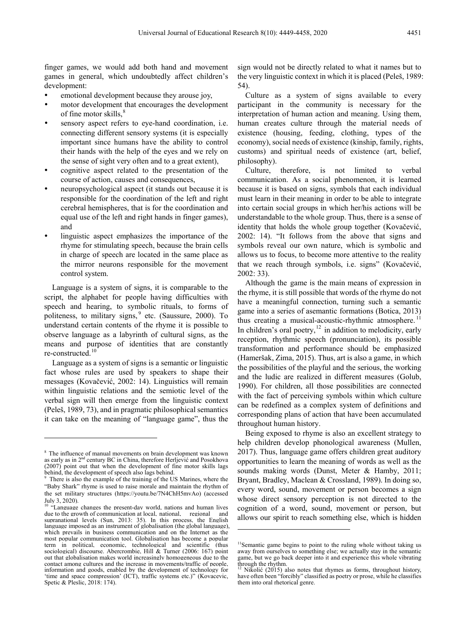finger games, we would add both hand and movement games in general, which undoubtedly affect children's development:

- emotional development because they arouse joy,
- motor development that encourages the development of fine motor skills,<sup>[8](#page-2-0)</sup>
- sensory aspect refers to eye-hand coordination, i.e. connecting different sensory systems (it is especially important since humans have the ability to control their hands with the help of the eyes and we rely on the sense of sight very often and to a great extent),
- cognitive aspect related to the presentation of the course of action, causes and consequences,
- neuropsychological aspect (it stands out because it is responsible for the coordination of the left and right cerebral hemispheres, that is for the coordination and equal use of the left and right hands in finger games), and
- linguistic aspect emphasizes the importance of the rhyme for stimulating speech, because the brain cells in charge of speech are located in the same place as the mirror neurons responsible for the movement control system.

Language is a system of signs, it is comparable to the script, the alphabet for people having difficulties with speech and hearing, to symbolic rituals, to forms of politeness, to military signs, <sup>[9](#page-2-1)</sup> etc. (Saussure, 2000). To understand certain contents of the rhyme it is possible to observe language as a labyrinth of cultural signs, as the means and purpose of identities that are constantly re-constructed.[10](#page-2-2)

Language as a system of signs is a semantic or linguistic fact whose rules are used by speakers to shape their messages (Kovačević, 2002: 14). Linguistics will remain within linguistic relations and the semiotic level of the verbal sign will then emerge from the linguistic context (Peleš, 1989, 73), and in pragmatic philosophical semantics it can take on the meaning of "language game", thus the

 $\overline{a}$ 

sign would not be directly related to what it names but to the very linguistic context in which it is placed (Peleš, 1989: 54).

Culture as a system of signs available to every participant in the community is necessary for the interpretation of human action and meaning. Using them, human creates culture through the material needs of existence (housing, feeding, clothing, types of the economy), social needs of existence (kinship, family, rights, customs) and spiritual needs of existence (art, belief, philosophy).

Culture, therefore, is not limited to verbal communication. As a social phenomenon, it is learned because it is based on signs, symbols that each individual must learn in their meaning in order to be able to integrate into certain social groups in which her/his actions will be understandable to the whole group. Thus, there is a sense of identity that holds the whole group together (Kovačević, 2002: 14). "It follows from the above that signs and symbols reveal our own nature, which is symbolic and allows us to focus, to become more attentive to the reality that we reach through symbols, i.e. signs" (Kovačević, 2002: 33).

Although the game is the main means of expression in the rhyme, it is still possible that words of the rhyme do not have a meaningful connection, turning such a semantic game into a series of asemantic formations (Botica, 2013) thus creating a musical-acoustic-rhythmic atmosphere.<sup>[11](#page-2-3)</sup> In children's oral poetry, $12$  in addition to melodicity, early reception, rhythmic speech (pronunciation), its possible transformation and performance should be emphasized (Hameršak, Zima, 2015). Thus, art is also a game, in which the possibilities of the playful and the serious, the working and the ludic are realized in different measures (Golub, 1990). For children, all those possibilities are connected with the fact of perceiving symbols within which culture can be redefined as a complex system of definitions and corresponding plans of action that have been accumulated throughout human history.

Being exposed to rhyme is also an excellent strategy to help children develop phonological awareness (Mullen, 2017). Thus, language game offers children great auditory opportunities to learn the meaning of words as well as the sounds making words (Dunst, Meter & Hamby, 2011; Bryant, Bradley, Maclean & Crossland, 1989). In doing so, every word, sound, movement or person becomes a sign whose direct sensory perception is not directed to the cognition of a word, sound, movement or person, but allows our spirit to reach something else, which is hidden

**.** 

<span id="page-2-0"></span><sup>8</sup> The influence of manual movements on brain development was known as early as in 2<sup>nd</sup> century BC in China, therefore Herljević and Posokhova (2007) point out that when the development of fine motor skills lags behind, the development of speech also lags behind.

<span id="page-2-1"></span>There is also the example of the training of the US Marines, where the "Baby Shark" rhyme is used to raise morale and maintain the rhythm of the set military structures (https://youtu.be/7N4ChH5mvAo) (accessed

<span id="page-2-4"></span><span id="page-2-3"></span><span id="page-2-2"></span>July 3, 2020).<br><sup>10</sup> "Language changes the present-day world, nations and human lives due to the growth of communication at local, national, regional and due to the growth of communication at local, national, supranational levels (Sun, 2013: 35). In this process, the English language imposed as an instrument of globalisation (the global language), which prevails in business communication and on the Internet as the most popular communication tool. Globalisation has become a popular term in political, economic, technological and scientific (thus sociological) discourse. Abercrombie, Hill & Turner (2006: 167) point out that globalisation makes world increasingly homogeneous due to the contact among cultures and the increase in movements/traffic of people, information and goods, enabled by the development of technology for 'time and space compression' (ICT), traffic systems etc.)" (Kovacevic, Spetic & Pleslic, 2018: 174).

<sup>&</sup>lt;sup>11</sup>Semantic game begins to point to the ruling whole without taking us away from ourselves to something else; we actually stay in the semantic game, but we go back deeper into it and experience this whole vibrating through the rhythm.

Nikolić (2015) also notes that rhymes as forms, throughout history, have often been "forcibly" classified as poetry or prose, while he classifies them into oral rhetorical genre.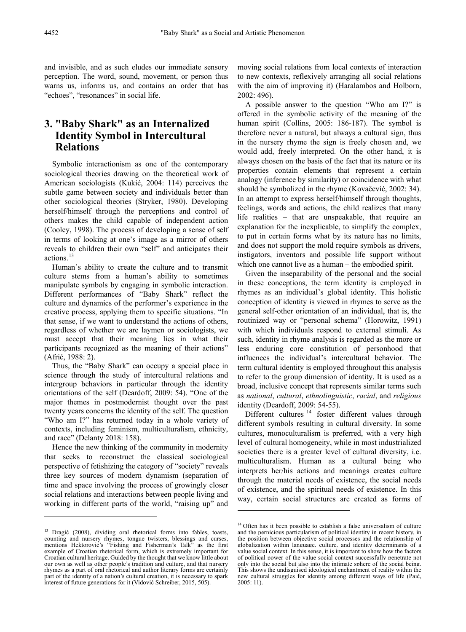and invisible, and as such eludes our immediate sensory perception. The word, sound, movement, or person thus warns us, informs us, and contains an order that has "echoes", "resonances" in social life.

## **3. "Baby Shark" as an Internalized Identity Symbol in Intercultural Relations**

Symbolic interactionism as one of the contemporary sociological theories drawing on the theoretical work of American sociologists (Kukić, 2004: 114) perceives the subtle game between society and individuals better than other sociological theories (Stryker, 1980). Developing herself/himself through the perceptions and control of others makes the child capable of independent action (Cooley, 1998). The process of developing a sense of self in terms of looking at one's image as a mirror of others reveals to children their own "self" and anticipates their actions.<sup>[13](#page-3-0)</sup>

Human's ability to create the culture and to transmit culture stems from a human's ability to sometimes manipulate symbols by engaging in symbolic interaction. Different performances of "Baby Shark" reflect the culture and dynamics of the performer's experience in the creative process, applying them to specific situations. "In that sense, if we want to understand the actions of others, regardless of whether we are laymen or sociologists, we must accept that their meaning lies in what their participants recognized as the meaning of their actions" (Afrić, 1988: 2).

Thus, the "Baby Shark" can occupy a special place in science through the study of intercultural relations and intergroup behaviors in particular through the identity orientations of the self (Deardoff, 2009: 54). "One of the major themes in postmodernist thought over the past twenty years concerns the identity of the self. The question "Who am I?" has returned today in a whole variety of contexts, including feminism, multiculturalism, ethnicity, and race" (Delanty 2018: 158).

Hence the new thinking of the community in modernity that seeks to reconstruct the classical sociological perspective of fetishizing the category of "society" reveals three key sources of modern dynamism (separation of time and space involving the process of growingly closer social relations and interactions between people living and working in different parts of the world, "raising up" and

 $\overline{a}$ 

moving social relations from local contexts of interaction to new contexts, reflexively arranging all social relations with the aim of improving it) (Haralambos and Holborn, 2002: 496).

A possible answer to the question "Who am I?" is offered in the symbolic activity of the meaning of the human spirit (Collins, 2005: 186-187). The symbol is therefore never a natural, but always a cultural sign, thus in the nursery rhyme the sign is freely chosen and, we would add, freely interpreted. On the other hand, it is always chosen on the basis of the fact that its nature or its properties contain elements that represent a certain analogy (inference by similarity) or coincidence with what should be symbolized in the rhyme (Kovačević, 2002: 34). In an attempt to express herself/himself through thoughts, feelings, words and actions, the child realizes that many life realities  $-$  that are unspeakable, that require an explanation for the inexplicable, to simplify the complex, to put in certain forms what by its nature has no limits, and does not support the mold require symbols as drivers, instigators, inventors and possible life support without which one cannot live as a human – the embodied spirit.

Given the inseparability of the personal and the social in these conceptions, the term identity is employed in rhymes as an individual's global identity. This holistic conception of identity is viewed in rhymes to serve as the general self-other orientation of an individual, that is, the routinized way or "personal schema" (Horowitz, 1991) with which individuals respond to external stimuli. As such, identity in rhyme analysis is regarded as the more or less enduring core constitution of personhood that influences the individual's intercultural behavior. The term cultural identity is employed throughout this analysis to refer to the group dimension of identity. It is used as a broad, inclusive concept that represents similar terms such as *national*, *cultural*, *ethnolinguistic*, *racial*, and *religious* identity (Deardoff, 2009: 54-55).

Different cultures<sup>[14](#page-3-1)</sup> foster different values through different symbols resulting in cultural diversity. In some cultures, monoculturalism is preferred, with a very high level of cultural homogeneity, while in most industrialized societies there is a greater level of cultural diversity, i.e. multiculturalism. Human as a cultural being who interprets her/his actions and meanings creates culture through the material needs of existence, the social needs of existence, and the spiritual needs of existence. In this way, certain social structures are created as forms of

<span id="page-3-1"></span><span id="page-3-0"></span><sup>&</sup>lt;sup>13</sup> Dragić (2008), dividing oral rhetorical forms into fables, toasts, counting and nursery rhymes, tongue twisters, blessings and curses, mentions Hektorović's "Fishing and Fisherman's Talk" as the first example of Croatian rhetorical form, which is extremely important for Croatian cultural heritage. Guided by the thought that we know little about our own as well as other people's tradition and culture, and that nursery rhymes as a part of oral rhetorical and author literary forms are certainly part of the identity of a nation's cultural creation, it is necessary to spark interest of future generations for it (Vidović Schreiber, 2015, 505).

 $14$  Often has it been possible to establish a false universalism of culture and the pernicious particularism of political identity in recent history, in the position between objective social processes and the relationship of globalization within language, culture, and identity determinants of a value social context. In this sense, it is important to show how the factors of political power of the value social context successfully penetrate not only into the social but also into the intimate sphere of the social being. This shows the undisguised ideological enchantment of reality within the new cultural struggles for identity among different ways of life (Paić, 2005: 11).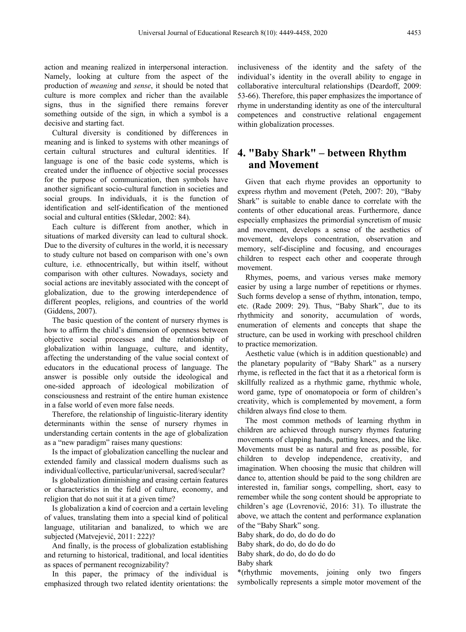action and meaning realized in interpersonal interaction. Namely, looking at culture from the aspect of the production of *meaning* and *sense*, it should be noted that culture is more complex and richer than the available signs, thus in the signified there remains forever something outside of the sign, in which a symbol is a decisive and starting fact.

Cultural diversity is conditioned by differences in meaning and is linked to systems with other meanings of certain cultural structures and cultural identities. If language is one of the basic code systems, which is created under the influence of objective social processes for the purpose of communication, then symbols have another significant socio-cultural function in societies and social groups. In individuals, it is the function of identification and self-identification of the mentioned social and cultural entities (Skledar, 2002: 84).

Each culture is different from another, which in situations of marked diversity can lead to cultural shock. Due to the diversity of cultures in the world, it is necessary to study culture not based on comparison with one's own culture, i.e. ethnocentrically, but within itself, without comparison with other cultures. Nowadays, society and social actions are inevitably associated with the concept of globalization, due to the growing interdependence of different peoples, religions, and countries of the world (Giddens, 2007).

The basic question of the content of nursery rhymes is how to affirm the child's dimension of openness between objective social processes and the relationship of globalization within language, culture, and identity, affecting the understanding of the value social context of educators in the educational process of language. The answer is possible only outside the ideological and one-sided approach of ideological mobilization of consciousness and restraint of the entire human existence in a false world of even more false needs.

Therefore, the relationship of linguistic-literary identity determinants within the sense of nursery rhymes in understanding certain contents in the age of globalization as a "new paradigm" raises many questions:

Is the impact of globalization cancelling the nuclear and extended family and classical modern dualisms such as individual/collective, particular/universal, sacred/secular?

Is globalization diminishing and erasing certain features or characteristics in the field of culture, economy, and religion that do not suit it at a given time?

Is globalization a kind of coercion and a certain leveling of values, translating them into a special kind of political language, utilitarian and banalized, to which we are subjected (Matvejević, 2011: 222)?

And finally, is the process of globalization establishing and returning to historical, traditional, and local identities as spaces of permanent recognizability?

In this paper, the primacy of the individual is emphasized through two related identity orientations: the inclusiveness of the identity and the safety of the individual's identity in the overall ability to engage in collaborative intercultural relationships (Deardoff, 2009: 53-66). Therefore, this paper emphasizes the importance of rhyme in understanding identity as one of the intercultural competences and constructive relational engagement within globalization processes.

### **4. "Baby Shark" ‒ between Rhythm and Movement**

Given that each rhyme provides an opportunity to express rhythm and movement (Peteh, 2007: 20), "Baby Shark" is suitable to enable dance to correlate with the contents of other educational areas. Furthermore, dance especially emphasizes the primordial syncretism of music and movement, develops a sense of the aesthetics of movement, develops concentration, observation and memory, self-discipline and focusing, and encourages children to respect each other and cooperate through movement.

Rhymes, poems, and various verses make memory easier by using a large number of repetitions or rhymes. Such forms develop a sense of rhythm, intonation, tempo, etc. (Rade 2009: 29). Thus, "Baby Shark", due to its rhythmicity and sonority, accumulation of words, enumeration of elements and concepts that shape the structure, can be used in working with preschool children to practice memorization.

Aesthetic value (which is in addition questionable) and the planetary popularity of "Baby Shark" as a nursery rhyme, is reflected in the fact that it as a rhetorical form is skillfully realized as a rhythmic game, rhythmic whole, word game, type of onomatopoeia or form of children's creativity, which is complemented by movement, a form children always find close to them.

The most common methods of learning rhythm in children are achieved through nursery rhymes featuring movements of clapping hands, patting knees, and the like. Movements must be as natural and free as possible, for children to develop independence, creativity, and imagination. When choosing the music that children will dance to, attention should be paid to the song children are interested in, familiar songs, compelling, short, easy to remember while the song content should be appropriate to children's age (Lovrenović, 2016: 31). To illustrate the above, we attach the content and performance explanation of the "Baby Shark" song.

Baby shark, do do, do do do do Baby shark, do do, do do do do Baby shark, do do, do do do do Baby shark

\*(rhythmic movements, joining only two fingers symbolically represents a simple motor movement of the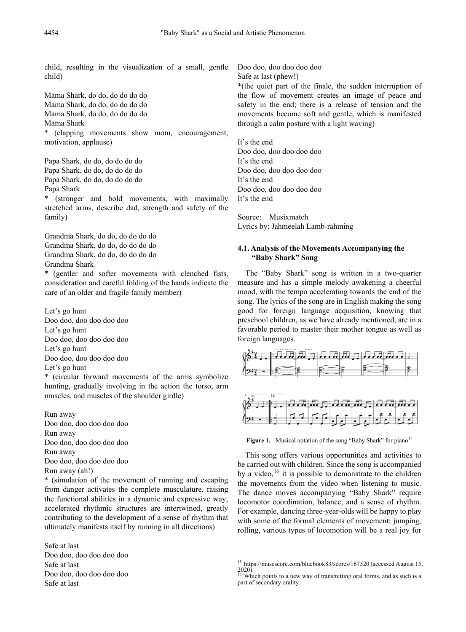child, resulting in the visualization of a small, gentle child)

Mama Shark, do do, do do do do Mama Shark, do do, do do do do Mama Shark, do do, do do do do Mama Shark \* (clapping movements show mom, encouragement, motivation, applause)

Papa Shark, do do, do do do do Papa Shark, do do, do do do do Papa Shark, do do, do do do do Papa Shark

\* (stronger and bold movements, with maximally stretched arms, describe dad, strength and safety of the family)

Grandma Shark, do do, do do do do Grandma Shark, do do, do do do do Grandma Shark, do do, do do do do Grandma Shark

\* (gentler and softer movements with clenched fists, consideration and careful folding of the hands indicate the care of an older and fragile family member)

Let's go hunt Doo doo, doo doo doo doo Let's go hunt Doo doo, doo doo doo doo Let's go hunt Doo doo, doo doo doo doo Let's go hunt

\* (circular forward movements of the arms symbolize hunting, gradually involving in the action the torso, arm muscles, and muscles of the shoulder girdle)

Run away Doo doo, doo doo doo doo Run away Doo doo, doo doo doo doo Run away Doo doo, doo doo doo doo Run away (ah!)

\* (simulation of the movement of running and escaping from danger activates the complete musculature, raising the functional abilities in a dynamic and expressive way; accelerated rhythmic structures are intertwined, greatly contributing to the development of a sense of rhythm that ultimately manifests itself by running in all directions)

<span id="page-5-1"></span><span id="page-5-0"></span>Safe at last Doo doo, doo doo doo doo Safe at last Doo doo, doo doo doo doo Safe at last

Doo doo, doo doo doo doo

Safe at last (phew!)

\*(the quiet part of the finale, the sudden interruption of the flow of movement creates an image of peace and safety in the end; there is a release of tension and the movements become soft and gentle, which is manifested through a calm posture with a light waving)

It's the end Doo doo, doo doo doo doo It's the end Doo doo, doo doo doo doo It's the end Doo doo, doo doo doo doo It's the end

Source: Musixmatch Lyrics by: Jahmeelah Lamb-rahming

#### **4.1. Analysis of the Movements Accompanying the "Baby Shark" Song**

The "Baby Shark" song is written in a two-quarter measure and has a simple melody awakening a cheerful mood, with the tempo accelerating towards the end of the song. The lyrics of the song are in English making the song good for foreign language acquisition, knowing that preschool children, as we have already mentioned, are in a favorable period to master their mother tongue as well as foreign languages.



Figure 1. Musical notation of the song "Baby Shark" for piano<sup>[15](#page-5-0)</sup>

This song offers various opportunities and activities to be carried out with children. Since the song is accompanied by a video,  $^{16}$  $^{16}$  $^{16}$  it is possible to demonstrate to the children the movements from the video when listening to music. The dance moves accompanying "Baby Shark" require locomotor coordination, balance, and a sense of rhythm. For example, dancing three-year-olds will be happy to play with some of the formal elements of movement: jumping, rolling, various types of locomotion will be a real joy for

**.** 

<sup>&</sup>lt;sup>15</sup> https://musescore.com/bluebook83/scores/167520 (accessed August 15,

<sup>2020).</sup> <sup>16</sup> Which points to a new way of transmitting oral forms, and as such is a part of secondary orality.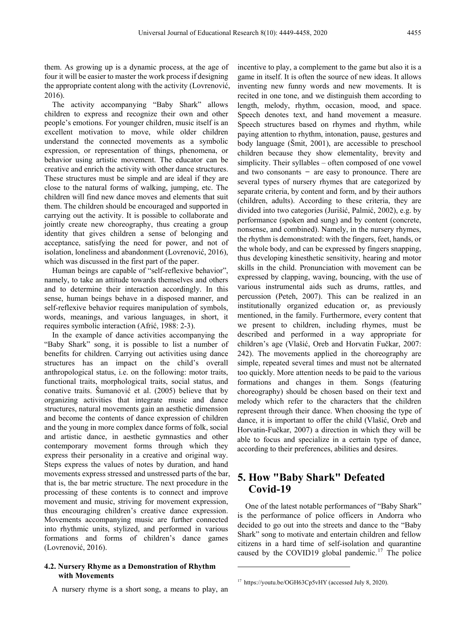them. As growing up is a dynamic process, at the age of four it will be easier to master the work process if designing the appropriate content along with the activity (Lovrenović, 2016).

The activity accompanying "Baby Shark" allows children to express and recognize their own and other people's emotions. For younger children, music itself is an excellent motivation to move, while older children understand the connected movements as a symbolic expression, or representation of things, phenomena, or behavior using artistic movement. The educator can be creative and enrich the activity with other dance structures. These structures must be simple and are ideal if they are close to the natural forms of walking, jumping, etc. The children will find new dance moves and elements that suit them. The children should be encouraged and supported in carrying out the activity. It is possible to collaborate and jointly create new choreography, thus creating a group identity that gives children a sense of belonging and acceptance, satisfying the need for power, and not of isolation, loneliness and abandonment (Lovrenović, 2016), which was discussed in the first part of the paper.

Human beings are capable of "self-reflexive behavior", namely, to take an attitude towards themselves and others and to determine their interaction accordingly. In this sense, human beings behave in a disposed manner, and self-reflexive behavior requires manipulation of symbols, words, meanings, and various languages, in short, it requires symbolic interaction (Afrić, 1988: 2-3).

In the example of dance activities accompanying the "Baby Shark" song, it is possible to list a number of benefits for children. Carrying out activities using dance structures has an impact on the child's overall anthropological status, i.e. on the following: motor traits, functional traits, morphological traits, social status, and conative traits. Šumanović et al. (2005) believe that by organizing activities that integrate music and dance structures, natural movements gain an aesthetic dimension and become the contents of dance expression of children and the young in more complex dance forms of folk, social and artistic dance, in aesthetic gymnastics and other contemporary movement forms through which they express their personality in a creative and original way. Steps express the values of notes by duration, and hand movements express stressed and unstressed parts of the bar, that is, the bar metric structure. The next procedure in the processing of these contents is to connect and improve movement and music, striving for movement expression, thus encouraging children's creative dance expression. Movements accompanying music are further connected into rhythmic units, stylized, and performed in various formations and forms of children's dance games (Lovrenović, 2016).

#### <span id="page-6-0"></span>**4.2. Nursery Rhyme as a Demonstration of Rhythm with Movements**

A nursery rhyme is a short song, a means to play, an

incentive to play, a complement to the game but also it is a game in itself. It is often the source of new ideas. It allows inventing new funny words and new movements. It is recited in one tone, and we distinguish them according to length, melody, rhythm, occasion, mood, and space. Speech denotes text, and hand movement a measure. Speech structures based on rhymes and rhythm, while paying attention to rhythm, intonation, pause, gestures and body language (Šmit, 2001), are accessible to preschool children because they show elementality, brevity and simplicity. Their syllables – often composed of one vowel and two consonants  $-$  are easy to pronounce. There are several types of nursery rhymes that are categorized by separate criteria, by content and form, and by their authors (children, adults). According to these criteria, they are divided into two categories (Jurišić, Palmić, 2002), e.g. by performance (spoken and sung) and by content (concrete, nonsense, and combined). Namely, in the nursery rhymes, the rhythm is demonstrated: with the fingers, feet, hands, or the whole body, and can be expressed by fingers snapping, thus developing kinesthetic sensitivity, hearing and motor skills in the child. Pronunciation with movement can be expressed by clapping, waving, bouncing, with the use of various instrumental aids such as drums, rattles, and percussion (Peteh, 2007). This can be realized in an institutionally organized education or, as previously mentioned, in the family. Furthermore, every content that we present to children, including rhymes, must be described and performed in a way appropriate for children's age (Vlašić, Oreb and Horvatin Fučkar, 2007: 242). The movements applied in the choreography are simple, repeated several times and must not be alternated too quickly. More attention needs to be paid to the various formations and changes in them. Songs (featuring choreography) should be chosen based on their text and melody which refer to the characters that the children represent through their dance. When choosing the type of dance, it is important to offer the child (Vlašić, Oreb and Horvatin-Fučkar, 2007) a direction in which they will be able to focus and specialize in a certain type of dance, according to their preferences, abilities and desires.

### **5. How "Baby Shark" Defeated Covid-19**

One of the latest notable performances of "Baby Shark" is the performance of police officers in Andorra who decided to go out into the streets and dance to the "Baby Shark" song to motivate and entertain children and fellow citizens in a hard time of self-isolation and quarantine caused by the COVID19 global pandemic.<sup>[17](#page-6-0)</sup> The police

**.** 

<sup>&</sup>lt;sup>17</sup> https://youtu.be/OGH63Cp5vHY (accessed July 8, 2020).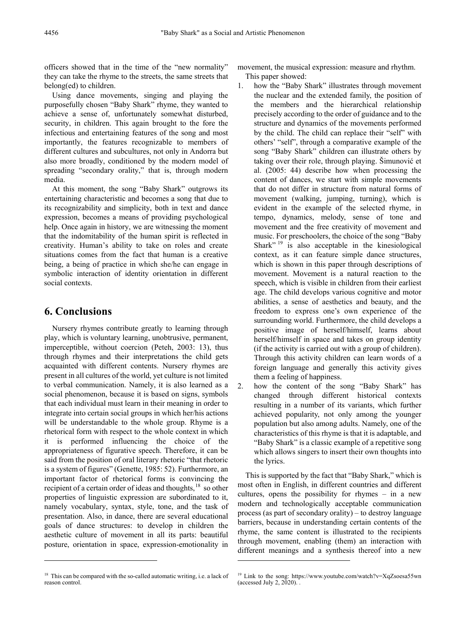officers showed that in the time of the "new normality" they can take the rhyme to the streets, the same streets that belong(ed) to children.

Using dance movements, singing and playing the purposefully chosen "Baby Shark" rhyme, they wanted to achieve a sense of, unfortunately somewhat disturbed, security, in children. This again brought to the fore the infectious and entertaining features of the song and most importantly, the features recognizable to members of different cultures and subcultures, not only in Andorra but also more broadly, conditioned by the modern model of spreading "secondary orality," that is, through modern media.

At this moment, the song "Baby Shark" outgrows its entertaining characteristic and becomes a song that due to its recognizability and simplicity, both in text and dance expression, becomes a means of providing psychological help. Once again in history, we are witnessing the moment that the indomitability of the human spirit is reflected in creativity. Human's ability to take on roles and create situations comes from the fact that human is a creative being, a being of practice in which she/he can engage in symbolic interaction of identity orientation in different social contexts.

# **6. Conclusions**

 $\overline{a}$ 

Nursery rhymes contribute greatly to learning through play, which is voluntary learning, unobtrusive, permanent, imperceptible, without coercion (Peteh, 2003: 13), thus through rhymes and their interpretations the child gets acquainted with different contents. Nursery rhymes are present in all cultures of the world, yet culture is not limited to verbal communication. Namely, it is also learned as a social phenomenon, because it is based on signs, symbols that each individual must learn in their meaning in order to integrate into certain social groups in which her/his actions will be understandable to the whole group. Rhyme is a rhetorical form with respect to the whole context in which it is performed influencing the choice of the appropriateness of figurative speech. Therefore, it can be said from the position of oral literary rhetoric "that rhetoric is a system of figures" (Genette, 1985: 52). Furthermore, an important factor of rhetorical forms is convincing the recipient of a certain order of ideas and thoughts,<sup>[18](#page-7-0)</sup> so other properties of linguistic expression are subordinated to it, namely vocabulary, syntax, style, tone, and the task of presentation. Also, in dance, there are several educational goals of dance structures: to develop in children the aesthetic culture of movement in all its parts: beautiful posture, orientation in space, expression-emotionality in

movement, the musical expression: measure and rhythm. This paper showed:

- 1. how the "Baby Shark" illustrates through movement the nuclear and the extended family, the position of the members and the hierarchical relationship precisely according to the order of guidance and to the structure and dynamics of the movements performed by the child. The child can replace their "self" with others' "self", through a comparative example of the song "Baby Shark" children can illustrate others by taking over their role, through playing. Šimunović et al. (2005: 44) describe how when processing the content of dances, we start with simple movements that do not differ in structure from natural forms of movement (walking, jumping, turning), which is evident in the example of the selected rhyme, in tempo, dynamics, melody, sense of tone and movement and the free creativity of movement and music. For preschoolers, the choice of the song "Baby Shark"  $19$  is also acceptable in the kinesiological context, as it can feature simple dance structures, which is shown in this paper through descriptions of movement. Movement is a natural reaction to the speech, which is visible in children from their earliest age. The child develops various cognitive and motor abilities, a sense of aesthetics and beauty, and the freedom to express one's own experience of the surrounding world. Furthermore, the child develops a positive image of herself/himself, learns about herself/himself in space and takes on group identity (if the activity is carried out with a group of children). Through this activity children can learn words of a foreign language and generally this activity gives them a feeling of happiness.
- 2. how the content of the song "Baby Shark" has changed through different historical contexts resulting in a number of its variants, which further achieved popularity, not only among the younger population but also among adults. Namely, one of the characteristics of this rhyme is that it is adaptable, and "Baby Shark" is a classic example of a repetitive song which allows singers to insert their own thoughts into the lyrics.

This is supported by the fact that "Baby Shark," which is most often in English, in different countries and different cultures, opens the possibility for rhymes  $-$  in a new modern and technologically acceptable communication process (as part of secondary orality) ‒ to destroy language barriers, because in understanding certain contents of the rhyme, the same content is illustrated to the recipients through movement, enabling (them) an interaction with different meanings and a synthesis thereof into a new

<span id="page-7-0"></span><sup>&</sup>lt;sup>18</sup> This can be compared with the so-called automatic writing, i.e. a lack of reason control.

<sup>&</sup>lt;sup>19</sup> Link to the song: https://www.youtube.com/watch?v=XqZsoesa55wn (accessed July 2,  $2020$ ).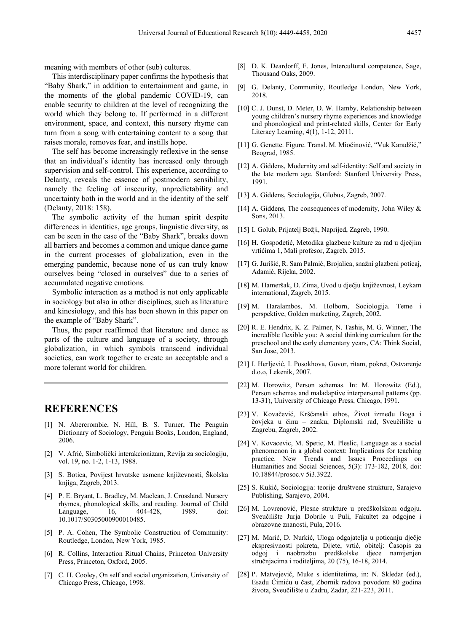meaning with members of other (sub) cultures.

This interdisciplinary paper confirms the hypothesis that "Baby Shark," in addition to entertainment and game, in the moments of the global pandemic COVID-19, can enable security to children at the level of recognizing the world which they belong to. If performed in a different environment, space, and context, this nursery rhyme can turn from a song with entertaining content to a song that raises morale, removes fear, and instills hope.

The self has become increasingly reflexive in the sense that an individual's identity has increased only through supervision and self-control. This experience, according to Delanty, reveals the essence of postmodern sensibility, namely the feeling of insecurity, unpredictability and uncertainty both in the world and in the identity of the self (Delanty, 2018: 158).

The symbolic activity of the human spirit despite differences in identities, age groups, linguistic diversity, as can be seen in the case of the "Baby Shark", breaks down all barriers and becomes a common and unique dance game in the current processes of globalization, even in the emerging pandemic, because none of us can truly know ourselves being "closed in ourselves" due to a series of accumulated negative emotions.

Symbolic interaction as a method is not only applicable in sociology but also in other disciplines, such as literature and kinesiology, and this has been shown in this paper on the example of "Baby Shark".

Thus, the paper reaffirmed that literature and dance as parts of the culture and language of a society, through globalization, in which symbols transcend individual societies, can work together to create an acceptable and a more tolerant world for children.

### **REFERENCES**

- [1] N. Abercrombie, N. Hill, B. S. Turner, The Penguin Dictionary of Sociology, Penguin Books, London, England, 2006.
- [2] V. Afrić, Simbolički interakcionizam, Revija za sociologiju, vol. 19, no. 1-2, 1-13, 1988.
- [3] S. Botica, Povijest hrvatske usmene književnosti, Školska knjiga, Zagreb, 2013.
- [4] P. E. Bryant, L. Bradley, M. Maclean, J. Crossland. Nursery rhymes, phonological skills, and reading. Journal of Child Language, 16, 404-428, 1989. doi: 10.1017/S0305000900010485.
- [5] P. A. Cohen, The Symbolic Construction of Community: Routledge, London, New York, 1985.
- [6] R. Collins, Interaction Ritual Chains, Princeton University Press, Princeton, Oxford, 2005.
- [7] C. H. Cooley, On self and social organization, University of Chicago Press, Chicago, 1998.
- [8] D. K. Deardorff, E. Jones, Intercultural competence, Sage, Thousand Oaks, 2009.
- [9] G. Delanty, Community, Routledge London, New York, 2018.
- [10] C. J. Dunst, D. Meter, D. W. Hamby, Relationship between young children's nursery rhyme experiences and knowledge and phonological and print-related skills, Center for Early Literacy Learning, 4(1), 1-12, 2011.
- [11] G. Genette. Figure. Transl. M. Miočinović, "Vuk Karadžić," Beograd, 1985.
- [12] A. Giddens, Modernity and self-identity: Self and society in the late modern age. Stanford: Stanford University Press, 1991.
- [13] A. Giddens, Sociologija, Globus, Zagreb, 2007.
- [14] A. Giddens, The consequences of modernity, John Wiley  $\&$ Sons, 2013.
- [15] I. Golub, Prijatelj Božji, Naprijed, Zagreb, 1990.
- [16] H. Gospodetić, Metodika glazbene kulture za rad u dječjim vrtićima 1, Mali profesor, Zagreb, 2015.
- [17] G. Jurišić, R. Sam Palmić, Brojalica, snažni glazbeni poticaj, Adamić, Rijeka, 2002.
- [18] M. Hameršak, D. Zima, Uvod u dječju književnost, Leykam international, Zagreb, 2015.
- [19] M. Haralambos, M. Holborn, Sociologija. Teme i perspektive, Golden marketing, Zagreb, 2002.
- [20] R. E. Hendrix, K. Z. Palmer, N. Tashis, M. G. Winner, The incredible flexible you: A social thinking curriculum for the preschool and the early elementary years, CA: Think Social, San Jose, 2013.
- [21] I. Herljević, I. Posokhova, Govor, ritam, pokret, Ostvarenje d.o.o, Lekenik, 2007.
- [22] M. Horowitz, Person schemas. In: M. Horowitz (Ed.), Person schemas and maladaptive interpersonal patterns (pp. 13-31), University of Chicago Press, Chicago, 1991.
- [23] V. Kovačević, Kršćanski ethos, Život između Boga i čovjeka u činu ‒ znaku, Diplomski rad, Sveučilište u Zagrebu, Zagreb, 2002.
- [24] V. Kovacevic, M. Spetic, M. Pleslic, Language as a social phenomenon in a global context: Implications for teaching practice. New Trends and Issues Proceedings on Humanities and Social Sciences, 5(3): 173-182, 2018, doi: 10.18844/prosoc.v 5i3.3922.
- [25] S. Kukić, Sociologija: teorije društvene strukture, Sarajevo Publishing, Sarajevo, 2004.
- [26] M. Lovrenović, Plesne strukture u predškolskom odgoju. Sveučilište Jurja Dobrile u Puli, Fakultet za odgojne i obrazovne znanosti, Pula, 2016.
- [27] M. Marić, D. Nurkić, Uloga odgajatelja u poticanju dječje ekspresivnosti pokreta, Dijete, vrtić, obitelj: Časopis za odgoj i naobrazbu predškolske djece namijenjen stručnjacima i roditeljima, 20 (75), 16-18, 2014.
- [28] P. Matvejević, Muke s identitetima, in: N. Skledar (ed.), Esadu Ćimiću u čast, Zbornik radova povodom 80 godina života, Sveučilište u Zadru, Zadar, 221-223, 2011.